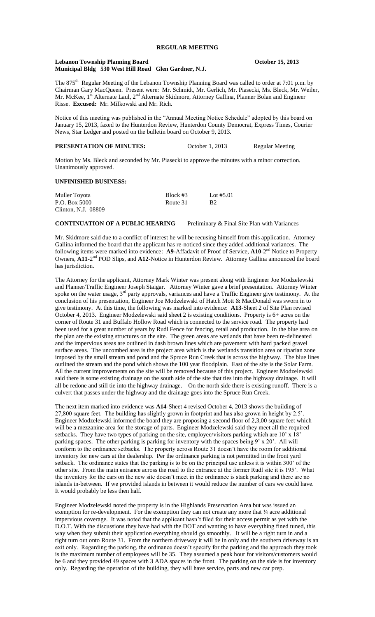#### Lebanon Township Planning Board **October 15, 2013 Municipal Bldg 530 West Hill Road Glen Gardner, N.J.**

The 875<sup>th</sup> Regular Meeting of the Lebanon Township Planning Board was called to order at 7:01 p.m. by Chairman Gary MacQueen. Present were: Mr. Schmidt, Mr. Gerlich, Mr. Piasecki, Ms. Bleck, Mr. Weiler, Mr. McKee, 1<sup>st</sup> Alternate Laul, 2<sup>nd</sup> Alternate Skidmore, Attorney Gallina, Planner Bolan and Engineer Risse. **Excused:** Mr. Milkowski and Mr. Rich.

Notice of this meeting was published in the "Annual Meeting Notice Schedule" adopted by this board on January 15, 2013, faxed to the Hunterdon Review, Hunterdon County Democrat, Express Times, Courier News, Star Ledger and posted on the bulletin board on October 9, 2013.

| <b>PRESENTATION OF MINUTES:</b> | October 1, 2013 | Regular Meeting |
|---------------------------------|-----------------|-----------------|
|---------------------------------|-----------------|-----------------|

Motion by Ms. Bleck and seconded by Mr. Piasecki to approve the minutes with a minor correction. Unanimously approved.

### **UNFINISHED BUSINESS:**

| Muller Toyota       | Block #3 | Lot $#5.01$    |
|---------------------|----------|----------------|
| P.O. Box 5000       | Route 31 | B <sub>2</sub> |
| Clinton, N.J. 08809 |          |                |

**CONTINUATION OF A PUBLIC HEARING** Preliminary & Final Site Plan with Variances

Mr. Skidmore said due to a conflict of interest he will be recusing himself from this application. Attorney Gallina informed the board that the applicant has re-noticed since they added additional variances. The following items were marked into evidence: A9-Affadavit of Proof of Service, A10-2<sup>nd</sup> Notice to Property Owners, A11-2<sup>nd</sup> POD Slips, and A12-Notice in Hunterdon Review. Attorney Gallina announced the board has jurisdiction.

The Attorney for the applicant, Attorney Mark Winter was present along with Engineer Joe Modzelewski and Planner/Traffic Engineer Joseph Staigar. Attorney Winter gave a brief presentation. Attorney Winter spoke on the water usage,  $3<sup>rd</sup>$  party approvals, variances and have a Traffic Engineer give testimony. At the conclusion of his presentation, Engineer Joe Modzelewski of Hatch Mott & MacDonald was sworn in to give testimony. At this time, the following was marked into evidence: **A13**-Sheet 2 of Site Plan revised October 4, 2013. Engineer Modzelewski said sheet 2 is existing conditions. Property is 6+ acres on the corner of Route 31 and Buffalo Hollow Road which is connected to the service road. The property had been used for a great number of years by Rudl Fence for fencing, retail and production. In the blue area on the plan are the existing structures on the site. The green areas are wetlands that have been re-delineated and the impervious areas are outlined in dash brown lines which are pavement with hard packed gravel surface areas. The uncombed area is the project area which is the wetlands transition area or riparian zone imposed by the small stream and pond and the Spruce Run Creek that is across the highway. The blue lines outlined the stream and the pond which shows the 100 year floodplain. East of the site is the Solar Farm. All the current improvements on the site will be removed because of this project. Engineer Modzelewski said there is some existing drainage on the south side of the site that ties into the highway drainage. It will all be redone and still tie into the highway drainage. On the north side there is existing runoff. There is a culvert that passes under the highway and the drainage goes into the Spruce Run Creek.

The next item marked into evidence was **A14**-Sheet 4 revised October 4, 2013 shows the building of 27,800 square feet. The building has slightly grown in footprint and has also grown in height by 2.5'. Engineer Modzelewski informed the board they are proposing a second floor of 2,3,00 square feet which will be a mezzanine area for the storage of parts. Engineer Modzelewski said they meet all the required setbacks. They have two types of parking on the site, employee/visitors parking which are 10' x 18' parking spaces. The other parking is parking for inventory with the spaces being 9' x 20'. All will conform to the ordinance setbacks. The property across Route 31 doesn't have the room for additional inventory for new cars at the dealership. Per the ordinance parking is not permitted in the front yard setback. The ordinance states that the parking is to be on the principal use unless it is within 300' of the other site. From the main entrance across the road to the entrance at the former Rudl site it is 195'. What the inventory for the cars on the new site doesn't meet in the ordinance is stack parking and there are no islands in-between. If we provided islands in between it would reduce the number of cars we could have. It would probably be less then half.

Engineer Modzelewski noted the property is in the Highlands Preservation Area but was issued an exemption for re-development. For the exemption they can not create any more that 1/4 acre additional impervious coverage. It was noted that the applicant hasn't filed for their access permit as yet with the D.O.T. With the discussions they have had with the DOT and wanting to have everything fined tuned, this way when they submit their application everything should go smoothly. It will be a right turn in and a right turn out onto Route 31. From the northern driveway it will be in only and the southern driveway is an exit only. Regarding the parking, the ordinance doesn't specify for the parking and the approach they took is the maximum number of employees will be 35. They assumed a peak hour for visitors/customers would be 6 and they provided 49 spaces with 3 ADA spaces in the front. The parking on the side is for inventory only. Regarding the operation of the building, they will have service, parts and new car prep.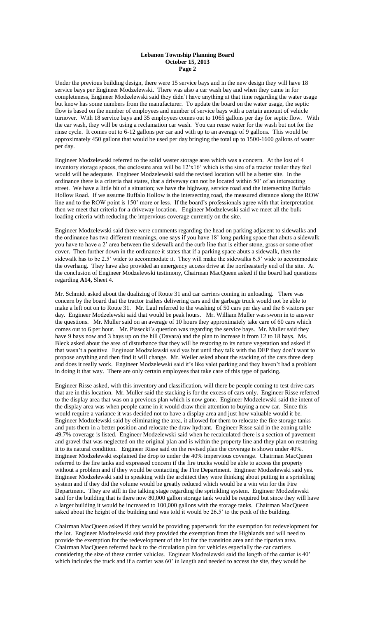#### **Lebanon Township Planning Board October 15, 2013 Page 2**

Under the previous building design, there were 15 service bays and in the new design they will have 18 service bays per Engineer Modzelewski. There was also a car wash bay and when they came in for completeness, Engineer Modzelewski said they didn't have anything at that time regarding the water usage but know has some numbers from the manufacturer. To update the board on the water usage, the septic flow is based on the number of employees and number of service bays with a certain amount of vehicle turnover. With 18 service bays and 35 employees comes out to 1065 gallons per day for septic flow. With the car wash, they will be using a reclamation car wash. You can reuse water for the wash but not for the rinse cycle. It comes out to 6-12 gallons per car and with up to an average of 9 gallons. This would be approximately 450 gallons that would be used per day bringing the total up to 1500-1600 gallons of water per day.

Engineer Modzelewski referred to the solid waster storage area which was a concern. At the lost of 4 inventory storage spaces, the enclosure area will be 12'x16' which is the size of a tractor trailer they feel would will be adequate. Engineer Modzelewski said the revised location will be a better site. In the ordinance there is a criteria that states, that a driveway can not be located within 50' of an intersecting street. We have a little bit of a situation; we have the highway, service road and the intersecting Buffalo Hollow Road. If we assume Buffalo Hollow is the intersecting road, the measured distance along the ROW line and to the ROW point is 150' more or less. If the board's professionals agree with that interpretation then we meet that criteria for a driveway location. Engineer Modzelewski said we meet all the bulk loading criteria with reducing the impervious coverage currently on the site.

Engineer Modzelewski said there were comments regarding the head on parking adjacent to sidewalks and the ordinance has two different meanings, one says if you have 18' long parking space that abuts a sidewalk you have to have a 2' area between the sidewalk and the curb line that is either stone, grass or some other cover. Then further down in the ordinance it states that if a parking space abuts a sidewalk, then the sidewalk has to be 2.5' wider to accommodate it. They will make the sidewalks 6.5' wide to accommodate the overhang. They have also provided an emergency access drive at the northeasterly end of the site. At the conclusion of Engineer Modzelewski testimony, Chairman MacQueen asked if the board had questions regarding **A14,** Sheet 4.

Mr. Schmidt asked about the dualizing of Route 31 and car carriers coming in unloading. There was concern by the board that the tractor trailers delivering cars and the garbage truck would not be able to make a left out on to Route 31. Mr. Laul referred to the washing of 50 cars per day and the 6 visitors per day. Engineer Modzelewski said that would be peak hours. Mr. William Muller was sworn in to answer the questions. Mr. Muller said on an average of 10 hours they approximately take care of 60 cars which comes out to 6 per hour. Mr. Piasecki's question was regarding the service bays. Mr. Muller said they have 9 bays now and 3 bays up on the hill (Davara) and the plan to increase it from 12 to 18 bays. Ms. Bleck asked about the area of disturbance that they will be restoring to its nature vegetation and asked if that wasn't a positive. Engineer Modzelewski said yes but until they talk with the DEP they don't want to propose anything and then find it will change. Mr. Weiler asked about the stacking of the cars three deep and does it really work. Engineer Modzelewski said it's like valet parking and they haven't had a problem in doing it that way. There are only certain employees that take care of this type of parking.

Engineer Risse asked, with this inventory and classification, will there be people coming to test drive cars that are in this location. Mr. Muller said the stacking is for the excess of cars only. Engineer Risse referred to the display area that was on a previous plan which is now gone. Engineer Modzelewski said the intent of the display area was when people came in it would draw their attention to buying a new car. Since this would require a variance it was decided not to have a display area and just how valuable would it be. Engineer Modzelewski said by eliminating the area, it allowed for them to relocate the fire storage tanks and puts them in a better position and relocate the draw hydrant. Engineer Risse said in the zoning table 49.7% coverage is listed. Engineer Modzelewski said when he recalculated there is a section of pavement and gravel that was neglected on the original plan and is within the property line and they plan on restoring it to its natural condition. Engineer Risse said on the revised plan the coverage is shown under 40%. Engineer Modzelewski explained the drop to under the 40% impervious coverage. Chairman MacQueen referred to the fire tanks and expressed concern if the fire trucks would be able to access the property without a problem and if they would be contacting the Fire Department. Engineer Modzelewski said yes. Engineer Modzelewski said in speaking with the architect they were thinking about putting in a sprinkling system and if they did the volume would be greatly reduced which would be a win win for the Fire Department. They are still in the talking stage regarding the sprinkling system. Engineer Modzelewski said for the building that is there now 80,000 gallon storage tank would be required but since they will have a larger building it would be increased to 100,000 gallons with the storage tanks. Chairman MacQueen asked about the height of the building and was told it would be 26.5' to the peak of the building.

Chairman MacQueen asked if they would be providing paperwork for the exemption for redevelopment for the lot. Engineer Modzelewski said they provided the exemption from the Highlands and will need to provide the exemption for the redevelopment of the lot for the transition area and the riparian area. Chairman MacQueen referred back to the circulation plan for vehicles especially the car carriers considering the size of these carrier vehicles. Engineer Modzelewski said the length of the carrier is 40' which includes the truck and if a carrier was 60' in length and needed to access the site, they would be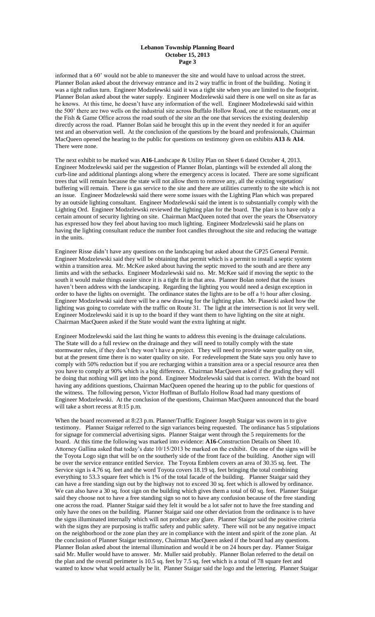#### **Lebanon Township Planning Board October 15, 2013 Page 3**

informed that a 60' would not be able to maneuver the site and would have to unload across the street. Planner Bolan asked about the driveway entrance and its 2 way traffic in front of the building. Noting it was a tight radius turn. Engineer Modzelewski said it was a tight site when you are limited to the footprint. Planner Bolan asked about the water supply. Engineer Modzelewski said there is one well on site as far as he knows. At this time, he doesn't have any information of the well. Engineer Modzelewski said within the 500' there are two wells on the industrial site across Buffalo Hollow Road, one at the restaurant, one at the Fish & Game Office across the road south of the site an the one that services the existing dealership directly across the road. Planner Bolan said he brought this up in the event they needed it for an aquifer test and an observation well. At the conclusion of the questions by the board and professionals, Chairman MacQueen opened the hearing to the public for questions on testimony given on exhibits **A13** & **A14**. There were none.

The next exhibit to be marked was **A16-**Landscape & Utility Plan on Sheet 6 dated October 4, 2013. Engineer Modzelewski said per the suggestion of Planner Bolan, plantings will be extended all along the curb-line and additional plantings along where the emergency access is located. There are some significant trees that will remain because the state will not allow them to remove any, all the existing vegetation/ buffering will remain. There is gas service to the site and there are utilities currently to the site which is not an issue. Engineer Modzelewski said there were some issues with the Lighting Plan which was prepared by an outside lighting consultant. Engineer Modzelewski said the intent is to substantially comply with the Lighting Ord. Engineer Modzelewski reviewed the lighting plan for the board. The plan is to have only a certain amount of security lighting on site. Chairman MacQueen noted that over the years the Observatory has expressed how they feel about having too much lighting. Engineer Modzelewski said he plans on having the lighting consultant reduce the number foot candles throughout the site and reducing the wattage in the units.

Engineer Risse didn't have any questions on the landscaping but asked about the GP25 General Permit. Engineer Modzelewski said they will be obtaining that permit which is a permit to install a septic system within a transition area. Mr. McKee asked about having the septic moved to the south and are there any limits and with the setbacks. Engineer Modzelewski said no. Mr. McKee said if moving the septic to the south it would make things easier since it is a tight fit in that area. Planner Bolan noted that the issues haven't been address with the landscaping. Regarding the lighting you would need a design exception in order to have the lights on overnight. The ordinance states the lights are to be off a ½ hour after closing. Engineer Modzelewski said there will be a new drawing for the lighting plan. Mr. Piasecki asked how the lighting was going to correlate with the traffic on Route 31. The light at the intersection is not lit very well. Engineer Modzelewski said it is up to the board if they want them to have lighting on the site at night. Chairman MacQueen asked if the State would want the extra lighting at night.

Engineer Modzelewski said the last thing he wants to address this evening is the drainage calculations. The State will do a full review on the drainage and they will need to totally comply with the state stormwater rules, if they don't they won't have a project. They will need to provide water quality on site, but at the present time there is no water quality on site. For redevelopment the State says you only have to comply with 50% reduction but if you are recharging within a transition area or a special resource area then you have to comply at 90% which is a big difference. Chairman MacQueen asked if the grading they will be doing that nothing will get into the pond. Engineer Modzelewski said that is correct. With the board not having any additions questions, Chairman MacQueen opened the hearing up to the public for questions of the witness. The following person, Victor Hoffman of Buffalo Hollow Road had many questions of Engineer Modzelewski. At the conclusion of the questions, Chairman MacQueen announced that the board will take a short recess at 8:15 p.m.

When the board reconvened at 8:23 p.m. Planner/Traffic Engineer Joseph Staigar was sworn in to give testimony. Planner Staigar referred to the sign variances being requested. The ordinance has 5 stipulations for signage for commercial advertising signs. Planner Staigar went through the 5 requirements for the board. At this time the following was marked into evidence: **A16**-Construction Details on Sheet 10. Attorney Gallina asked that today's date 10/15/2013 be marked on the exhibit. On one of the signs will be the Toyota Logo sign that will be on the southerly side of the front face of the building. Another sign will be over the service entrance entitled Service. The Toyota Emblem covers an area of 30.35 sq. feet. The Service sign is 4.76 sq. feet and the word Toyota covers 18.19 sq. feet bringing the total combining everything to 53.3 square feet which is 1% of the total facade of the building. Planner Staigar said they can have a free standing sign out by the highway not to exceed 30 sq. feet which is allowed by ordinance. We can also have a 30 sq. foot sign on the building which gives them a total of 60 sq. feet. Planner Staigar said they choose not to have a free standing sign so not to have any confusion because of the free standing one across the road. Planner Staigar said they felt it would be a lot safer not to have the free standing and only have the ones on the building. Planner Staigar said one other deviation from the ordinance is to have the signs illuminated internally which will not produce any glare. Planner Staigar said the positive criteria with the signs they are purposing is traffic safety and public safety. There will not be any negative impact on the neighborhood or the zone plan they are in compliance with the intent and spirit of the zone plan. At the conclusion of Planner Staigar testimony, Chairman MacQueen asked if the board had any questions. Planner Bolan asked about the internal illumination and would it be on 24 hours per day. Planner Staigar said Mr. Muller would have to answer. Mr. Muller said probably. Planner Bolan referred to the detail on the plan and the overall perimeter is 10.5 sq. feet by 7.5 sq. feet which is a total of 78 square feet and wanted to know what would actually be lit. Planner Staigar said the logo and the lettering. Planner Staigar